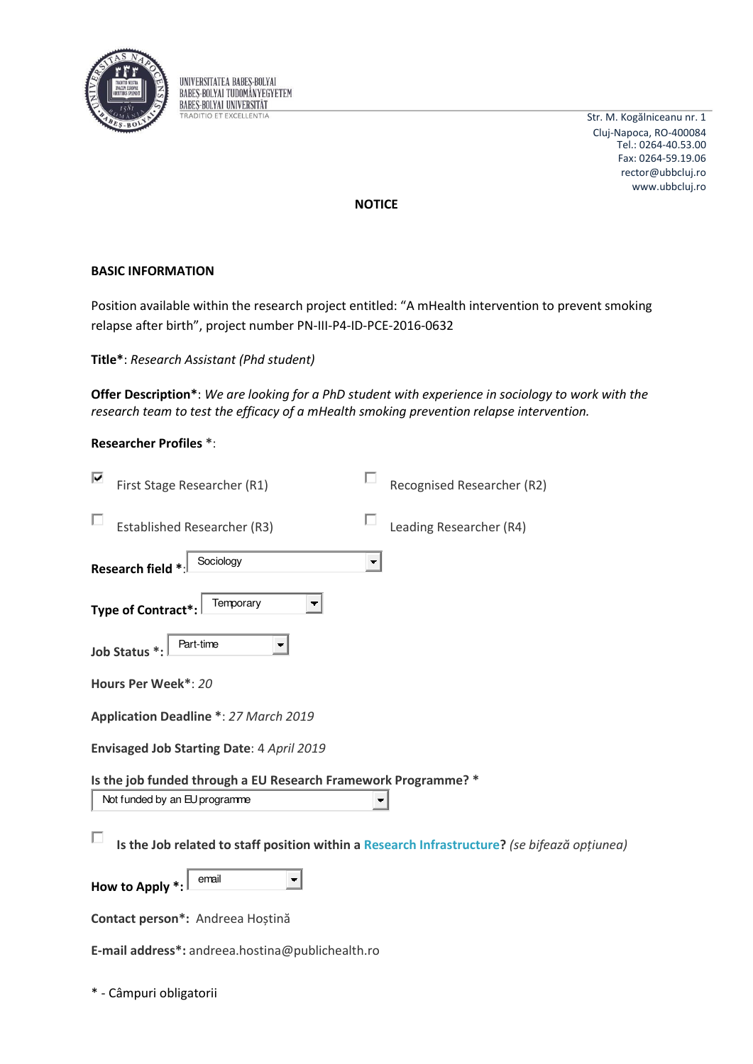

UNIVERSITATEA BABES-BOLYAI **BABES-BOLYAI TUDOMÁNYEGYETEM BABES-BOLYAI UNIVERSITÄT TRADITIO ET EXCELLENTIA** 

Str. M. Kogălniceanu nr. 1 Cluj-Napoca, RO-400084 Tel.: 0264-40.53.00 Fax: 0264-59.19.06 rector@ubbcluj.ro www.ubbcluj.ro

opțiunea)

**NOTICE** 

## **BASIC INFORMATION**

Position available within the research project entitled: "A mHealth intervention to prevent smoking relapse after birth", project number PN-III-P4-ID-PCE-2016-0632

Title\*: Research Assistant (Phd student)

Offer Description\*: We are looking for a PhD student with experience in sociology to work with the research team to test the efficacy of a mHealth smoking prevention relapse intervention.

## **Researcher Profiles \*:**

| First Stage Researcher (R1)                                                        | Recognised Researcher (R2) |
|------------------------------------------------------------------------------------|----------------------------|
| <b>Established Researcher (R3)</b>                                                 | Leading Researcher (R4)    |
| Sociology<br>Research field *                                                      | $\overline{\phantom{a}}$   |
| Temporary<br>Type of Contract*:                                                    |                            |
| Part-time<br>۰.<br>Job Status *:                                                   |                            |
| Hours Per Week*: 20                                                                |                            |
| Application Deadline *: 27 March 2019                                              |                            |
| Envisaged Job Starting Date: 4 April 2019                                          |                            |
| Is the job funded through a EU Research Framework Programme? *                     |                            |
| Not funded by an EU programme                                                      |                            |
| Is the Job related to staff position within a Research Infrastructure? (se bifează |                            |
| email<br>How to Apply *:                                                           |                            |
| Contact person*: Andreea Hoștină                                                   |                            |
| E-mail address*: andreea.hostina@publichealth.ro                                   |                            |

\* - Câmpuri obligatorii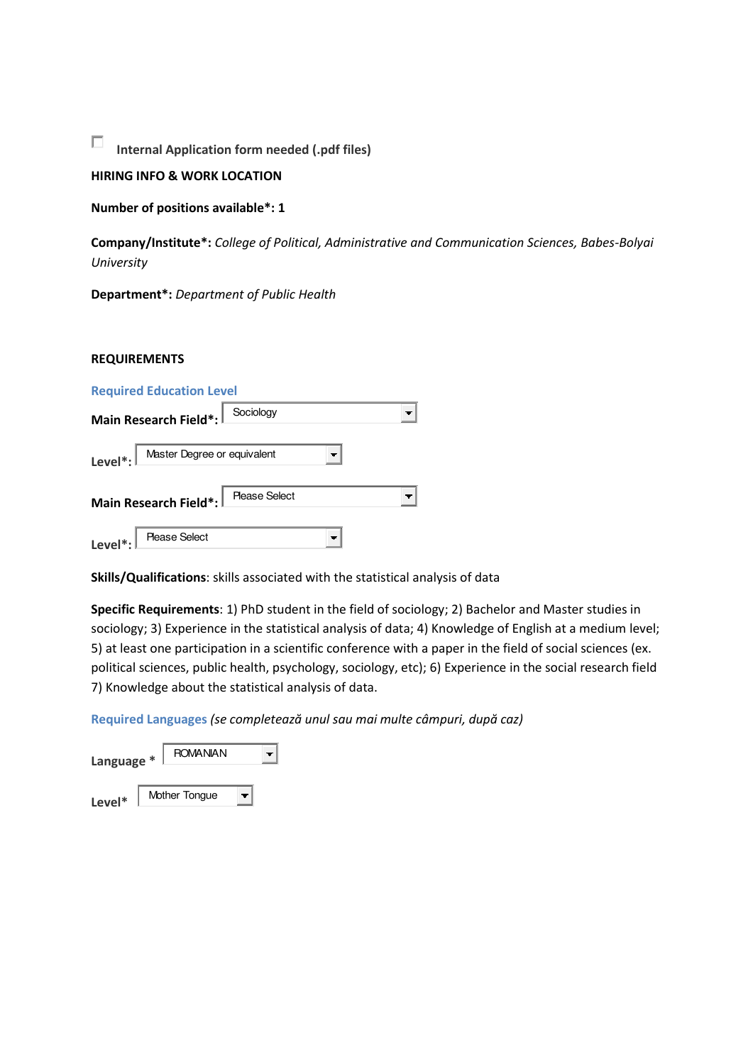П **Internal Application form needed (.pdf files)** 

# **HIRING INFO & WORK LOCATION**

**Number of positions available\*: 1** 

**Company/Institute\*:** *College of Political, Administrative and Communication Sciences, Babes-Bolyai University* 

**Department\*:** *Department of Public Health* 

#### **REQUIREMENTS**

| <b>Required Education Level</b>                  |           |  |  |  |  |
|--------------------------------------------------|-----------|--|--|--|--|
| Main Research Field*:                            | Sociology |  |  |  |  |
| Level <sup>*</sup> : Master Degree or equivalent |           |  |  |  |  |
| Main Research Field*:   Please Select            |           |  |  |  |  |
| Level <sup>*</sup> :<br><b>Please Select</b>     |           |  |  |  |  |

**Skills/Qualifications**: skills associated with the statistical analysis of data

**Specific Requirements**: 1) PhD student in the field of sociology; 2) Bachelor and Master studies in sociology; 3) Experience in the statistical analysis of data; 4) Knowledge of English at a medium level; 5) at least one participation in a scientific conference with a paper in the field of social sciences (ex. political sciences, public health, psychology, sociology, etc); 6) Experience in the social research field 7) Knowledge about the statistical analysis of data.

**Required Languages (se completează unul sau mai multe câmpuri, după caz)** 

| <b>ROMANIAN</b><br>Language * |  |               |  |  |
|-------------------------------|--|---------------|--|--|
| Level*                        |  | Mother Tongue |  |  |